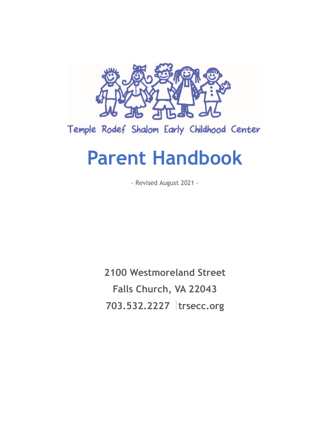

Temple Rodef Shalom Early Childhood Center

# **Parent Handbook**

- Revised August 2021 -

**2100 Westmoreland Street Falls Church, VA 22043 703.532.2227 trsecc.org**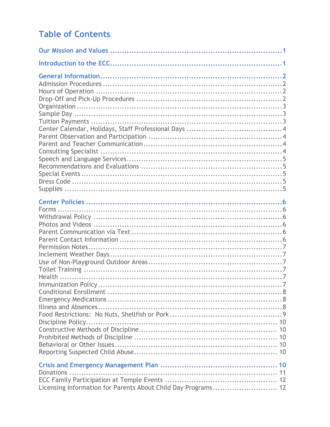# **Table of Contents**

| Discipline Policy                                             |  |
|---------------------------------------------------------------|--|
|                                                               |  |
|                                                               |  |
|                                                               |  |
|                                                               |  |
|                                                               |  |
|                                                               |  |
|                                                               |  |
|                                                               |  |
| Licensing Information for Parents About Child Day Programs 12 |  |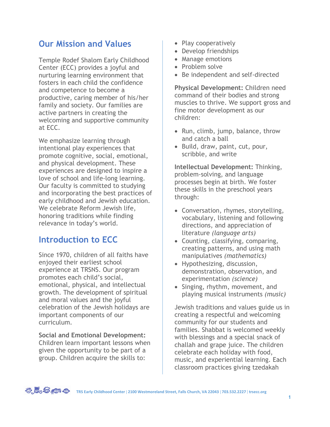# **Our Mission and Values**

Temple Rodef Shalom Early Childhood Center (ECC) provides a joyful and nurturing learning environment that fosters in each child the confidence and competence to become a productive, caring member of his/her family and society. Our families are active partners in creating the welcoming and supportive community at ECC.

We emphasize learning through intentional play experiences that promote cognitive, social, emotional, and physical development. These experiences are designed to inspire a love of school and life-long learning. Our faculty is committed to studying and incorporating the best practices of early childhood and Jewish education. We celebrate Reform Jewish life, honoring traditions while finding relevance in today's world.

# **Introduction to ECC**

Since 1970, children of all faiths have enjoyed their earliest school experience at TRSNS. Our program promotes each child's social, emotional, physical, and intellectual growth. The development of spiritual and moral values and the joyful celebration of the Jewish holidays are important components of our curriculum.

**Social and Emotional Development:** Children learn important lessons when given the opportunity to be part of a group. Children acquire the skills to:

- Play cooperatively
- Develop friendships
- Manage emotions
- Problem solve
- Be independent and self-directed

**Physical Development:** Children need command of their bodies and strong muscles to thrive. We support gross and fine motor development as our children:

- Run, climb, jump, balance, throw and catch a ball
- Build, draw, paint, cut, pour, scribble, and write

**Intellectual Development:** Thinking, problem-solving, and language processes begin at birth. We foster these skills in the preschool years through:

- Conversation, rhymes, storytelling, vocabulary, listening and following directions, and appreciation of literature *(language arts)*
- Counting, classifying, comparing, creating patterns, and using math manipulatives *(mathematics)*
- Hypothesizing, discussion, demonstration, observation, and experimentation *(science)*
- Singing, rhythm, movement, and playing musical instruments *(music)*

Jewish traditions and values guide us in creating a respectful and welcoming community for our students and families. Shabbat is welcomed weekly with blessings and a special snack of challah and grape juice. The children celebrate each holiday with food, music, and experiential learning. Each classroom practices giving tzedakah

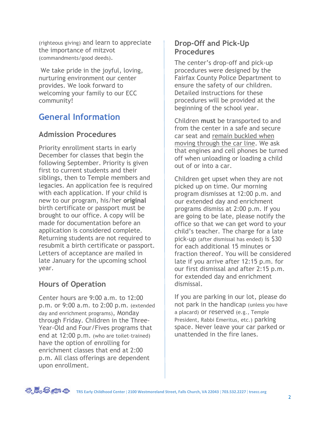(righteous giving) and learn to appreciate the importance of mitzvot (commandments/good deeds).

We take pride in the joyful, loving, nurturing environment our center provides. We look forward to welcoming your family to our ECC community!

# **General Information**

#### **Admission Procedures**

Priority enrollment starts in early December for classes that begin the following September. Priority is given first to current students and their siblings, then to Temple members and legacies. An application fee is required with each application. If your child is new to our program, his/her **original** birth certificate or passport must be brought to our office. A copy will be made for documentation before an application is considered complete. Returning students are not required to resubmit a birth certificate or passport. Letters of acceptance are mailed in late January for the upcoming school year.

### **Hours of Operation**

Center hours are 9:00 a.m. to 12:00 p.m. or 9:00 a.m. to 2:00 p.m. (extended day and enrichment programs), Monday through Friday. Children in the Three-Year-Old and Four/Fives programs that end at 12:00 p.m. (who are toilet-trained) have the option of enrolling for enrichment classes that end at 2:00 p.m. All class offerings are dependent upon enrollment.

#### **Drop-Off and Pick-Up Procedures**

The center's drop-off and pick-up procedures were designed by the Fairfax County Police Department to ensure the safety of our children. Detailed instructions for these procedures will be provided at the beginning of the school year.

Children **must** be transported to and from the center in a safe and secure car seat and remain buckled when moving through the car line. We ask that engines and cell phones be turned off when unloading or loading a child out of or into a car.

Children get upset when they are not picked up on time. Our morning program dismisses at 12:00 p.m. and our extended day and enrichment programs dismiss at 2:00 p.m. If you are going to be late, please notify the office so that we can get word to your child's teacher. The charge for a late pick-up (after dismissal has ended) is \$30 for each additional 15 minutes or fraction thereof. You will be considered late if you arrive after 12:15 p.m. for our first dismissal and after 2:15 p.m. for extended day and enrichment dismissal.

If you are parking in our lot, please do not park in the handicap (unless you have a placard) or reserved (e.g., Temple President, Rabbi Emeritus, etc.) parking space. Never leave your car parked or unattended in the fire lanes.

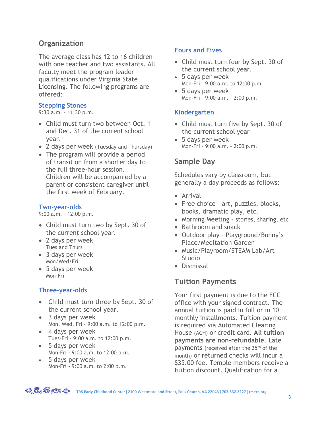## **Organization**

The average class has 12 to 16 children with one teacher and two assistants. All faculty meet the program leader qualifications under Virginia State Licensing. The following programs are offered:

#### **Stepping Stones**

9:30 a.m. – 11:30 p.m.

- Child must turn two between Oct. 1 and Dec. 31 of the current school year.
- 2 days per week (Tuesday and Thursday)
- The program will provide a period of transition from a shorter day to the full three-hour session. Children will be accompanied by a parent or consistent caregiver until the first week of February.

#### **Two-year-olds**

9:00 a.m. – 12:00 p.m.

- Child must turn two by Sept. 30 of the current school year.
- 2 days per week Tues and Thurs
- 3 days per week Mon/Wed/Fri
- 5 days per week Mon-Fri

#### **Three-year-olds**

- Child must turn three by Sept. 30 of the current school year.
- 3 days per week Mon, Wed, Fri - 9:00 a.m. to 12:00 p.m.
- 4 days per week Tues–Fri - 9:00 a.m. to 12:00 p.m.
- 5 days per week Mon-Fri - 9:00 a.m. to 12:00 p.m.
- 5 days per week Mon-Fri - 9:00 a.m. to 2:00 p.m.

#### **Fours and Fives**

- Child must turn four by Sept. 30 of the current school year.
- 5 days per week Mon-Fri – 9:00 a.m. to 12:00 p.m.
- 5 days per week Mon-Fri – 9:00 a.m. – 2:00 p.m.

#### **Kindergarten**

- Child must turn five by Sept. 30 of the current school year
- 5 days per week Mon-Fri – 9:00 a.m. – 2:00 p.m.

## **Sample Day**

Schedules vary by classroom, but generally a day proceeds as follows:

- Arrival
- Free choice art, puzzles, blocks, books, dramatic play, etc.
- Morning Meeting stories, sharing, etc
- Bathroom and snack
- Outdoor play Playground/Bunny's Place/Meditation Garden
- Music/Playroom/STEAM Lab/Art **Studio**
- Dismissal

### **Tuition Payments**

Your first payment is due to the ECC office with your signed contract. The annual tuition is paid in full or in 10 monthly installments. Tuition payment is required via Automated Clearing House (ACH) or credit card. **All tuition payments are non-refundable**. Late payments (received after the 25<sup>th</sup> of the month) or returned checks will incur a \$35.00 fee. Temple members receive a tuition discount. Qualification for a



**TRS Early Childhood Center 2100 Westmoreland Street, Falls Church, VA 22043 703.532.2227 trsecc.org**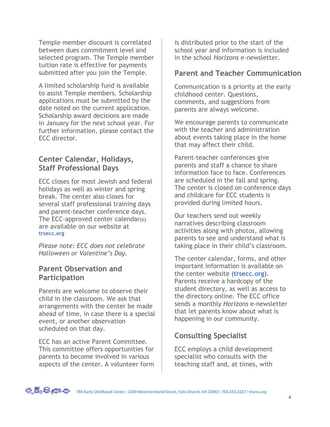Temple member discount is correlated between dues commitment level and selected program. The Temple member tuition rate is effective for payments submitted after you join the Temple.

A limited scholarship fund is available to assist Temple members. Scholarship applications must be submitted by the date noted on the current application. Scholarship award decisions are made in January for the next school year. For further information, please contact the ECC director.

#### **Center Calendar, Holidays, Staff Professional Days**

ECC closes for most Jewish and federal holidays as well as winter and spring break. The center also closes for several staff professional training days and parent-teacher conference days. The ECC-approved center calendar(s) are available on our website at **trsecc.org**

*Please note: ECC does not celebrate Halloween or Valentine's Day.*

#### **Parent Observation and Participation**

Parents are welcome to observe their child in the classroom. We ask that arrangements with the center be made ahead of time, in case there is a special event, or another observation scheduled on that day.

ECC has an active Parent Committee. This committee offers opportunities for parents to become involved in various aspects of the center. A volunteer form is distributed prior to the start of the school year and information is included in the school *Horizons* e-newsletter.

#### **Parent and Teacher Communication**

Communication is a priority at the early childhood center. Questions, comments, and suggestions from parents are always welcome.

We encourage parents to communicate with the teacher and administration about events taking place in the home that may affect their child.

Parent-teacher conferences give parents and staff a chance to share information face to face. Conferences are scheduled in the fall and spring. The center is closed on conference days and childcare for ECC students is provided during limited hours.

Our teachers send out weekly narratives describing classroom activities along with photos, allowing parents to see and understand what is taking place in their child's classroom.

The center calendar, forms, and other important information is available on the center website **(trsecc.org)**. Parents receive a hardcopy of the student directory, as well as access to the directory online. The ECC office sends a monthly *Horizons* e-newsletter that let parents know about what is happening in our community.

# **Consulting Specialist**

ECC employs a child development specialist who consults with the teaching staff and, at times, with



**TRS Early Childhood Center 2100 Westmoreland Street, Falls Church, VA 22043 703.532.2227 trsecc.org**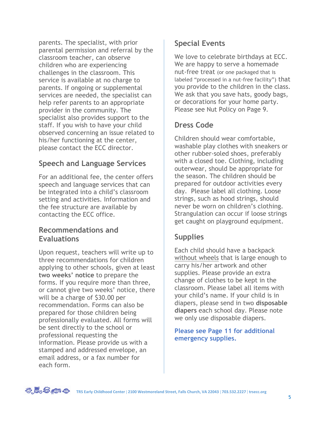parents. The specialist, with prior parental permission and referral by the classroom teacher, can observe children who are experiencing challenges in the classroom. This service is available at no charge to parents. If ongoing or supplemental services are needed, the specialist can help refer parents to an appropriate provider in the community. The specialist also provides support to the staff. If you wish to have your child observed concerning an issue related to his/her functioning at the center, please contact the ECC director.

# **Speech and Language Services**

For an additional fee, the center offers speech and language services that can be integrated into a child's classroom setting and activities. Information and the fee structure are available by contacting the ECC office.

#### **Recommendations and Evaluations**

Upon request, teachers will write up to three recommendations for children applying to other schools, given at least **two weeks' notice** to prepare the forms. If you require more than three, or cannot give two weeks' notice, there will be a charge of \$30.00 per recommendation. Forms can also be prepared for those children being professionally evaluated. All forms will be sent directly to the school or professional requesting the information. Please provide us with a stamped and addressed envelope, an email address, or a fax number for each form.

## **Special Events**

We love to celebrate birthdays at ECC. We are happy to serve a homemade nut-free treat (or one packaged that is labeled "processed in a nut-free facility") that you provide to the children in the class. We ask that you save hats, goody bags, or decorations for your home party. Please see Nut Policy on Page 9.

# **Dress Code**

Children should wear comfortable, washable play clothes with sneakers or other rubber-soled shoes, preferably with a closed toe. Clothing, including outerwear, should be appropriate for the season. The children should be prepared for outdoor activities every day. Please label all clothing. Loose strings, such as hood strings, should never be worn on children's clothing. Strangulation can occur if loose strings get caught on playground equipment.

# **Supplies**

Each child should have a backpack without wheels that is large enough to carry his/her artwork and other supplies. Please provide an extra change of clothes to be kept in the classroom. Please label all items with your child's name. If your child is in diapers, please send in two **disposable diapers** each school day. Please note we only use disposable diapers.

**Please see Page 11 for additional emergency supplies.** 

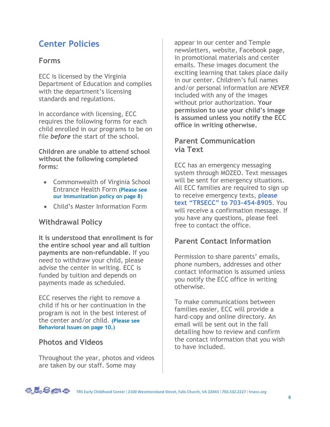# **Center Policies**

#### **Forms**

ECC is licensed by the Virginia Department of Education and complies with the department's licensing standards and regulations.

In accordance with licensing, ECC requires the following forms for each child enrolled in our programs to be on file *before* the start of the school.

**Children are unable to attend school without the following completed forms:**

- Commonwealth of Virginia School Entrance Health Form **(Please see our Immunization policy on page 8)**
- Child's Master Information Form

### **Withdrawal Policy**

**It is understood that enrollment is for the entire school year and all tuition payments are non-refundable.** If you need to withdraw your child, please advise the center in writing. ECC is funded by tuition and depends on payments made as scheduled.

ECC reserves the right to remove a child if his or her continuation in the program is not in the best interest of the center and/or child. **(Please see Behavioral Issues on page 10.)**

### **Photos and Videos**

Throughout the year, photos and videos are taken by our staff. Some may

appear in our center and Temple newsletters, website, Facebook page, in promotional materials and center emails. These images document the exciting learning that takes place daily in our center. Children's full names and/or personal information are *NEVER* included with any of the images without prior authorization. **Your permission to use your child's image is assumed unless you notify the ECC office in writing otherwise.**

#### **Parent Communication via Text**

ECC has an emergency messaging system through MOZEO. Text messages will be sent for emergency situations. All ECC families are required to sign up to receive emergency texts, **please text "TRSECC" to 703-454-8905**. You will receive a confirmation message. If you have any questions, please feel free to contact the office.

# **Parent Contact Information**

Permission to share parents' emails, phone numbers, addresses and other contact information is assumed unless you notify the ECC office in writing otherwise.

To make communications between families easier, ECC will provide a hard-copy and online directory. An email will be sent out in the fall detailing how to review and confirm the contact information that you wish to have included.

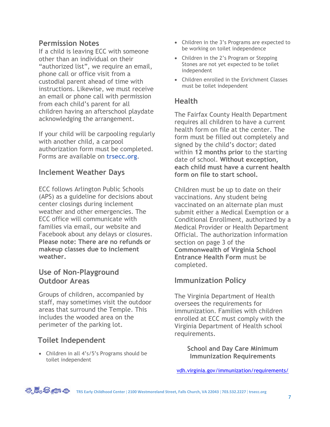#### **Permission Notes**

If a child is leaving ECC with someone other than an individual on their "authorized list", we require an email, phone call or office visit from a custodial parent ahead of time with instructions. Likewise, we must receive an email or phone call with permission from each child's parent for all children having an afterschool playdate acknowledging the arrangement.

If your child will be carpooling regularly with another child, a carpool authorization form must be completed. Forms are available on **trsecc.org**.

#### **Inclement Weather Days**

ECC follows Arlington Public Schools (APS) as a guideline for decisions about center closings during inclement weather and other emergencies. The ECC office will communicate with families via email, our website and Facebook about any delays or closures. **Please note: There are no refunds or makeup classes due to inclement weather.**

#### **Use of Non-Playground Outdoor Areas**

Groups of children, accompanied by staff, may sometimes visit the outdoor areas that surround the Temple. This includes the wooded area on the perimeter of the parking lot.

# **Toilet Independent**

• Children in all 4's/5's Programs should be toilet independent

- Children in the 3's Programs are expected to be working on toilet independence
- Children in the 2's Program or Stepping Stones are not yet expected to be toilet independent
- Children enrolled in the Enrichment Classes must be toilet independent

### **Health**

The Fairfax County Health Department requires all children to have a current health form on file at the center. The form must be filled out completely and signed by the child's doctor; dated within **12 months prior** to the starting date of school. **Without exception, each child must have a current health form on file to start school.** 

Children must be up to date on their vaccinations. Any student being vaccinated on an alternate plan must submit either a Medical Exemption or a Conditional Enrollment, authorized by a Medical Provider or Health Department Official. The authorization information section on page 3 of the **Commonwealth of Virginia School Entrance Health Form** must be completed.

### **Immunization Policy**

The Virginia Department of Health oversees the requirements for immunization. Families with children enrolled at ECC must comply with the Virginia Department of Health school requirements.

> **School and Day Care Minimum Immunization Requirements**

[vdh.virginia.gov/immunization/requirements/](https://www.vdh.virginia.gov/immunization/requirements/)



**TRS Early Childhood Center 2100 Westmoreland Street, Falls Church, VA 22043 703.532.2227 trsecc.org**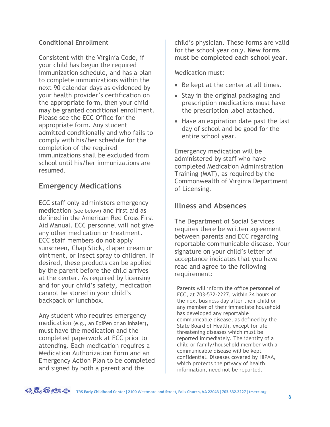#### **Conditional Enrollment**

Consistent with the Virginia Code, if your child has begun the required immunization schedule, and has a plan to complete immunizations within the next 90 calendar days as evidenced by your health provider's certification on the appropriate form, then your child may be granted conditional enrollment. Please see the ECC Office for the appropriate form. Any student admitted conditionally and who fails to comply with his/her schedule for the completion of the required immunizations shall be excluded from school until his/her immunizations are resumed.

### **Emergency Medications**

ECC staff only administers emergency medication (see below) and first aid as defined in the American Red Cross First Aid Manual. ECC personnel will not give any other medication or treatment. ECC staff members **do not** apply sunscreen, Chap Stick, diaper cream or ointment, or insect spray to children. If desired, these products can be applied by the parent before the child arrives at the center. As required by licensing and for your child's safety, medication cannot be stored in your child's backpack or lunchbox.

Any student who requires emergency medication (e.g., an EpiPen or an inhaler), must have the medication and the completed paperwork at ECC prior to attending. Each medication requires a Medication Authorization Form and an Emergency Action Plan to be completed and signed by both a parent and the

child's physician. These forms are valid for the school year only. **New forms must be completed each school year**.

Medication must:

- Be kept at the center at all times.
- Stay in the original packaging and prescription medications must have the prescription label attached.
- Have an expiration date past the last day of school and be good for the entire school year.

Emergency medication will be administered by staff who have completed Medication Administration Training (MAT), as required by the Commonwealth of Virginia Department of Licensing.

#### **Illness and Absences**

The Department of Social Services requires there be written agreement between parents and ECC regarding reportable communicable disease. Your signature on your child's letter of acceptance indicates that you have read and agree to the following requirement:

Parents will inform the office personnel of ECC, at 703-532-2227, within 24 hours or the next business day after their child or any member of their immediate household has developed any reportable communicable disease, as defined by the State Board of Health, except for life threatening diseases which must be reported immediately. The identity of a child or family/household member with a communicable disease will be kept confidential. Diseases covered by HIPAA, which protects the privacy of health information, need not be reported.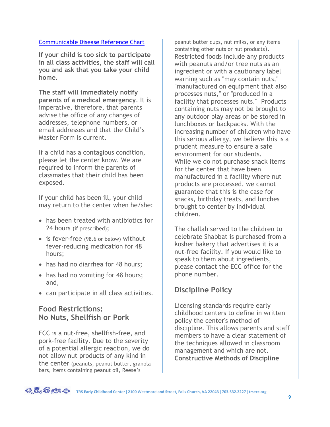#### Communicable [Disease Reference Chart](https://www.vdh.virginia.gov/content/uploads/sites/3/2016/03/Communicable_Disease_Chart-1.pdf)

**If your child is too sick to participate in all class activities, the staff will call you and ask that you take your child home.**

**The staff will immediately notify parents of a medical emergency**. It is imperative, therefore, that parents advise the office of any changes of addresses, telephone numbers, or email addresses and that the Child's Master Form is current.

If a child has a contagious condition, please let the center know. We are required to inform the parents of classmates that their child has been exposed.

If your child has been ill, your child may return to the center when he/she:

- has been treated with antibiotics for 24 hours (if prescribed);
- is fever-free (98.6 or below) without fever-reducing medication for 48 hours;
- has had no diarrhea for 48 hours;
- has had no vomiting for 48 hours; and,
- can participate in all class activities.

#### **Food Restrictions: No Nuts, Shellfish or Pork**

ECC is a nut-free, shellfish-free, and pork-free facility. Due to the severity of a potential allergic reaction, we do not allow nut products of any kind in the center (peanuts, peanut butter, granola bars, items containing peanut oil, Reese's

peanut butter cups, nut milks, or any items containing other nuts or nut products). Restricted foods include any products with peanuts and/or tree nuts as an ingredient or with a cautionary label warning such as "may contain nuts," "manufactured on equipment that also processes nuts," or "produced in a facility that processes nuts." Products containing nuts may not be brought to any outdoor play areas or be stored in lunchboxes or backpacks. With the increasing number of children who have this serious allergy, we believe this is a prudent measure to ensure a safe environment for our students. While we do not purchase snack items for the center that have been manufactured in a facility where nut products are processed, we cannot guarantee that this is the case for snacks, birthday treats, and lunches brought to center by individual children.

The challah served to the children to celebrate Shabbat is purchased from a kosher bakery that advertises it is a nut-free facility. If you would like to speak to them about ingredients, please contact the ECC office for the phone number.

### **Discipline Policy**

Licensing standards require early childhood centers to define in written policy the center's method of discipline. This allows parents and staff members to have a clear statement of the techniques allowed in classroom management and which are not. **Constructive Methods of Discipline**

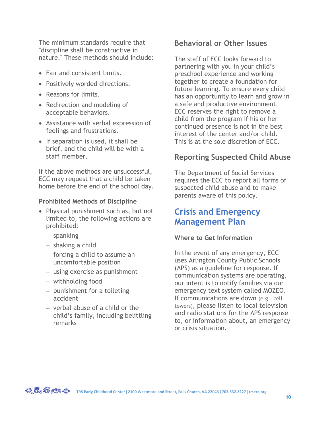The minimum standards require that "discipline shall be constructive in nature." These methods should include:

- Fair and consistent limits.
- Positively worded directions.
- Reasons for limits.
- Redirection and modeling of acceptable behaviors.
- Assistance with verbal expression of feelings and frustrations.
- If separation is used, it shall be brief, and the child will be with a staff member.

If the above methods are unsuccessful, ECC may request that a child be taken home before the end of the school day.

#### **Prohibited Methods of Discipline**

- Physical punishment such as, but not limited to, the following actions are prohibited:
	- − spanking
	- − shaking a child
	- − forcing a child to assume an uncomfortable position
	- − using exercise as punishment
	- − withholding food
	- − punishment for a toileting accident
	- − verbal abuse of a child or the child's family, including belittling remarks

#### **Behavioral or Other Issues**

The staff of ECC looks forward to partnering with you in your child's preschool experience and working together to create a foundation for future learning. To ensure every child has an opportunity to learn and grow in a safe and productive environment, ECC reserves the right to remove a child from the program if his or her continued presence is not in the best interest of the center and/or child. This is at the sole discretion of ECC.

## **Reporting Suspected Child Abuse**

The Department of Social Services requires the ECC to report all forms of suspected child abuse and to make parents aware of this policy.

# **Crisis and Emergency Management Plan**

#### **Where to Get Information**

In the event of any emergency, ECC uses Arlington County Public Schools (APS) as a guideline for response. If communication systems are operating, our intent is to notify families via our emergency text system called MOZEO. If communications are down (e.g., cell towers), please listen to local television and radio stations for the APS response to, or information about, an emergency or crisis situation.

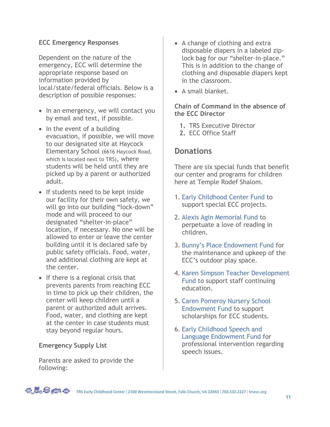#### **ECC Emergency Responses**

Dependent on the nature of the emergency, ECC will determine the appropriate response based on information provided by local/state/federal officials. Below is a description of possible responses:

- In an emergency, we will contact you by email and text, if possible.
- In the event of a building evacuation, if possible, we will move to our designated site at Haycock Elementary School (6616 Haycock Road, which is located next to TRS), where students will be held until they are picked up by a parent or authorized adult.
- If students need to be kept inside our facility for their own safety, we will go into our building "lock-down" mode and will proceed to our designated "shelter-in-place" location, if necessary. No one will be allowed to enter or leave the center building until it is declared safe by public safety officials. Food, water, and additional clothing are kept at the center.
- If there is a regional crisis that prevents parents from reaching ECC in time to pick up their children, the center will keep children until a parent or authorized adult arrives. Food, water, and clothing are kept at the center in case students must stay beyond regular hours.

#### **Emergency Supply List**

Parents are asked to provide the following:

- A change of clothing and extra disposable diapers in a labeled ziplock bag for our "shelter-in-place." This is in addition to the change of clothing and disposable diapers kept in the classroom.
- A small blanket.

#### **Chain of Command in the absence of the ECC Director**

- **1.** TRS Executive Director
- **2.** ECC Office Staff

### **Donations**

There are six special funds that benefit our center and programs for children here at Temple Rodef Shalom.

- 1. Early Childhood Center Fund to support special ECC projects.
- 2. Alexis Agin Memorial Fund to perpetuate a love of reading in children.
- 3. Bunny's Place Endowment Fund for the maintenance and upkeep of the ECC's outdoor play space.
- 4. Karen Simpson Teacher Development Fund to support staff continuing education.
- 5. Caren Pomeroy Nursery School Endowment Fund to support scholarships for ECC students.
- 6. Early Childhood Speech and Language Endowment Fund for professional intervention regarding speech issues.